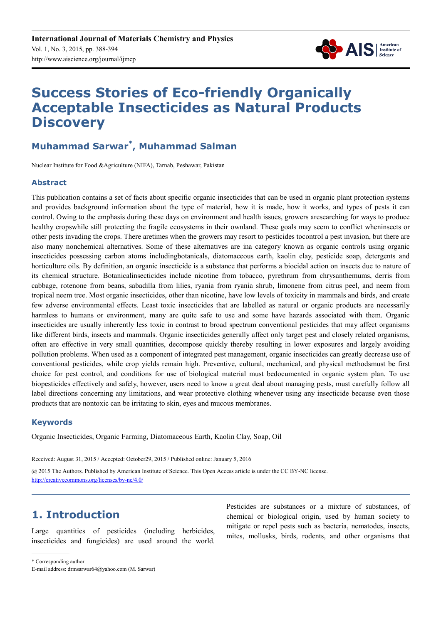

# **Success Stories of Eco-friendly Organically Acceptable Insecticides as Natural Products Discovery**

## **Muhammad Sarwar\* , Muhammad Salman**

Nuclear Institute for Food &Agriculture (NIFA), Tarnab, Peshawar, Pakistan

## **Abstract**

This publication contains a set of facts about specific organic insecticides that can be used in organic plant protection systems and provides background information about the type of material, how it is made, how it works, and types of pests it can control. Owing to the emphasis during these days on environment and health issues, growers aresearching for ways to produce healthy cropswhile still protecting the fragile ecosystems in their ownland. These goals may seem to conflict wheninsects or other pests invading the crops. There aretimes when the growers may resort to pesticides tocontrol a pest invasion, but there are also many nonchemical alternatives. Some of these alternatives are ina category known as organic controls using organic insecticides possessing carbon atoms includingbotanicals, diatomaceous earth, kaolin clay, pesticide soap, detergents and horticulture oils. By definition, an organic insecticide is a substance that performs a biocidal action on insects due to nature of its chemical structure. Botanicalinsecticides include nicotine from tobacco, pyrethrum from chrysanthemums, derris from cabbage, rotenone from beans, sabadilla from lilies, ryania from ryania shrub, limonene from citrus peel, and neem from tropical neem tree. Most organic insecticides, other than nicotine, have low levels of toxicity in mammals and birds, and create few adverse environmental effects. Least toxic insecticides that are labelled as natural or organic products are necessarily harmless to humans or environment, many are quite safe to use and some have hazards associated with them. Organic insecticides are usually inherently less toxic in contrast to broad spectrum conventional pesticides that may affect organisms like different birds, insects and mammals. Organic insecticides generally affect only target pest and closely related organisms, often are effective in very small quantities, decompose quickly thereby resulting in lower exposures and largely avoiding pollution problems. When used as a component of integrated pest management, organic insecticides can greatly decrease use of conventional pesticides, while crop yields remain high. Preventive, cultural, mechanical, and physical methodsmust be first choice for pest control, and conditions for use of biological material must bedocumented in organic system plan. To use biopesticides effectively and safely, however, users need to know a great deal about managing pests, must carefully follow all label directions concerning any limitations, and wear protective clothing whenever using any insecticide because even those products that are nontoxic can be irritating to skin, eyes and mucous membranes.

### **Keywords**

Organic Insecticides, Organic Farming, Diatomaceous Earth, Kaolin Clay, Soap, Oil

Received: August 31, 2015 / Accepted: October29, 2015 / Published online: January 5, 2016

@ 2015 The Authors. Published by American Institute of Science. This Open Access article is under the CC BY-NC license. http://creativecommons.org/licenses/by-nc/4.0/

## **1. Introduction**

Large quantities of pesticides (including herbicides, insecticides and fungicides) are used around the world. Pesticides are substances or a mixture of substances, of chemical or biological origin, used by human society to mitigate or repel pests such as bacteria, nematodes, insects, mites, mollusks, birds, rodents, and other organisms that

\* Corresponding author

E-mail address: drmsarwar64@yahoo.com (M. Sarwar)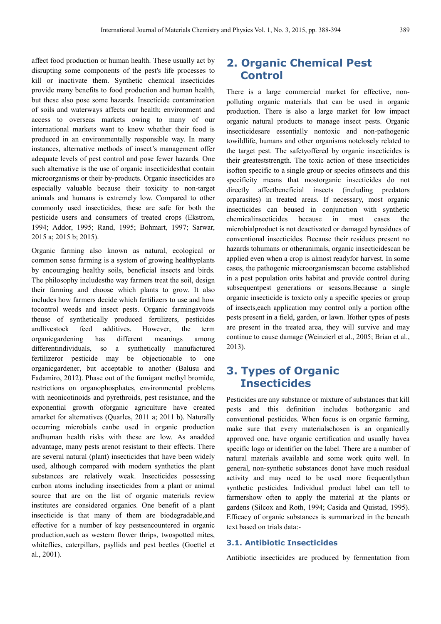affect food production or human health. These usually act by disrupting some components of the pest's life processes to kill or inactivate them. Synthetic chemical insecticides provide many benefits to food production and human health, but these also pose some hazards. Insecticide contamination of soils and waterways affects our health; environment and access to overseas markets owing to many of our international markets want to know whether their food is produced in an environmentally responsible way. In many instances, alternative methods of insect's management offer adequate levels of pest control and pose fewer hazards. One such alternative is the use of organic insecticidesthat contain microorganisms or their by-products. Organic insecticides are especially valuable because their toxicity to non-target animals and humans is extremely low. Compared to other commonly used insecticides, these are safe for both the pesticide users and consumers of treated crops (Ekstrom, 1994; Addor, 1995; Rand, 1995; Bohmart, 1997; Sarwar, 2015 a; 2015 b; 2015).

Organic farming also known as natural, ecological or common sense farming is a system of growing healthyplants by encouraging healthy soils, beneficial insects and birds. The philosophy includesthe way farmers treat the soil, design their farming and choose which plants to grow. It also includes how farmers decide which fertilizers to use and how tocontrol weeds and insect pests. Organic farmingavoids theuse of synthetically produced fertilizers, pesticides andlivestock feed additives. However, the term organicgardening has different meanings among differentindividuals, so a synthetically manufactured fertilizeror pesticide may be objectionable to one organicgardener, but acceptable to another (Balusu and Fadamiro, 2012). Phase out of the fumigant methyl bromide, restrictions on organophosphates, environmental problems with neonicotinoids and pyrethroids, pest resistance, and the exponential growth oforganic agriculture have created amarket for alternatives (Quarles, 2011 a; 2011 b). Naturally occurring microbials canbe used in organic production andhuman health risks with these are low. As anadded advantage, many pests arenot resistant to their effects. There are several natural (plant) insecticides that have been widely used, although compared with modern synthetics the plant substances are relatively weak. Insecticides possessing carbon atoms including insecticides from a plant or animal source that are on the list of organic materials review institutes are considered organics. One benefit of a plant insecticide is that many of them are biodegradable,and effective for a number of key pestsencountered in organic production,such as western flower thrips, twospotted mites, whiteflies, caterpillars, psyllids and pest beetles (Goettel et al., 2001).

## **2. Organic Chemical Pest Control**

There is a large commercial market for effective, nonpolluting organic materials that can be used in organic production. There is also a large market for low impact organic natural products to manage insect pests. Organic insecticidesare essentially nontoxic and non-pathogenic towildlife, humans and other organisms notclosely related to the target pest. The safetyoffered by organic insecticides is their greateststrength. The toxic action of these insecticides isoften specific to a single group or species ofinsects and this specificity means that mostorganic insecticides do not directly affectbeneficial insects (including predators orparasites) in treated areas. If necessary, most organic insecticides can beused in conjunction with synthetic chemicalinsecticides because in most cases the microbialproduct is not deactivated or damaged byresidues of conventional insecticides. Because their residues present no hazards tohumans or otheranimals, organic insecticidescan be applied even when a crop is almost readyfor harvest. In some cases, the pathogenic microorganismscan become established in a pest population orits habitat and provide control during subsequentpest generations or seasons.Because a single organic insecticide is toxicto only a specific species or group of insects,each application may control only a portion ofthe pests present in a field, garden, or lawn. Ifother types of pests are present in the treated area, they will survive and may continue to cause damage (Weinzierl et al., 2005; Brian et al., 2013).

## **3. Types of Organic Insecticides**

Pesticides are any substance or mixture of substances that kill pests and this definition includes bothorganic and conventional pesticides. When focus is on organic farming, make sure that every materialschosen is an organically approved one, have organic certification and usually havea specific logo or identifier on the label. There are a number of natural materials available and some work quite well. In general, non-synthetic substances donot have much residual activity and may need to be used more frequentlythan synthetic pesticides. Individual product label can tell to farmershow often to apply the material at the plants or gardens (Silcox and Roth, 1994; Casida and Quistad, 1995). Efficacy of organic substances is summarized in the beneath text based on trials data:-

### **3.1. Antibiotic Insecticides**

Antibiotic insecticides are produced by fermentation from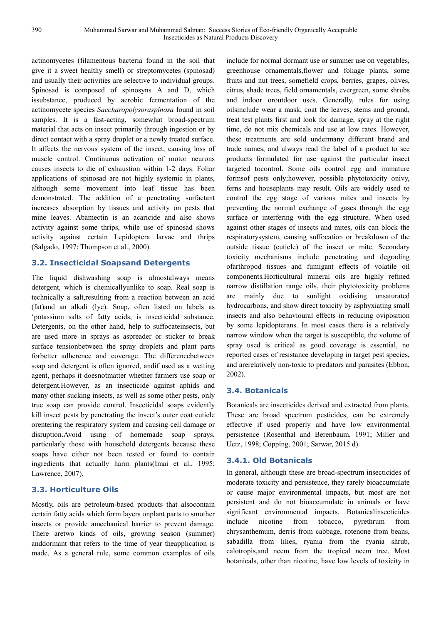actinomycetes (filamentous bacteria found in the soil that give it a sweet healthy smell) or streptomycetes (spinosad) and usually their activities are selective to individual groups. Spinosad is composed of spinosyns A and D, which issubstance, produced by aerobic fermentation of the actinomycete species *Saccharopolysoraspinosa* found in soil samples. It is a fast-acting, somewhat broad-spectrum material that acts on insect primarily through ingestion or by direct contact with a spray droplet or a newly treated surface. It affects the nervous system of the insect, causing loss of muscle control. Continuous activation of motor neurons causes insects to die of exhaustion within 1-2 days. Foliar applications of spinosad are not highly systemic in plants, although some movement into leaf tissue has been demonstrated. The addition of a penetrating surfactant increases absorption by tissues and activity on pests that mine leaves. Abamectin is an acaricide and also shows activity against some thrips, while use of spinosad shows activity against certain Lepidoptera larvae and thrips (Salgado, 1997; Thompson et al., 2000).

## **3.2. Insecticidal Soapsand Detergents**

The liquid dishwashing soap is almostalways means detergent, which is chemicallyunlike to soap. Real soap is technically a salt,resulting from a reaction between an acid (fat)and an alkali (lye). Soap, often listed on labels as 'potassium salts of fatty acids, is insecticidal substance. Detergents, on the other hand, help to suffocateinsects, but are used more in sprays as aspreader or sticker to break surface tensionbetween the spray droplets and plant parts forbetter adherence and coverage. The differencebetween soap and detergent is often ignored, andif used as a wetting agent, perhaps it doesnotmatter whether farmers use soap or detergent.However, as an insecticide against aphids and many other sucking insects, as well as some other pests, only true soap can provide control. Insecticidal soaps evidently kill insect pests by penetrating the insect's outer coat cuticle orentering the respiratory system and causing cell damage or disruption.Avoid using of homemade soap sprays, particularly those with household detergents because these soaps have either not been tested or found to contain ingredients that actually harm plants(Imai et al., 1995; Lawrence, 2007).

### **3.3. Horticulture Oils**

Mostly, oils are petroleum-based products that alsocontain certain fatty acids which form layers onplant parts to smother insects or provide amechanical barrier to prevent damage. There aretwo kinds of oils, growing season (summer) anddormant that refers to the time of year theapplication is made. As a general rule, some common examples of oils include for normal dormant use or summer use on vegetables, greenhouse ornamentals,flower and foliage plants, some fruits and nut trees, somefield crops, berries, grapes, olives, citrus, shade trees, field ornamentals, evergreen, some shrubs and indoor oroutdoor uses. Generally, rules for using oilsinclude wear a mask, coat the leaves, stems and ground, treat test plants first and look for damage, spray at the right time, do not mix chemicals and use at low rates. However, these treatments are sold undermany different brand and trade names, and always read the label of a product to see products formulated for use against the particular insect targeted tocontrol. Some oils control egg and immature formsof pests only;however, possible phytotoxicity onivy, ferns and houseplants may result. Oils are widely used to control the egg stage of various mites and insects by preventing the normal exchange of gases through the egg surface or interfering with the egg structure. When used against other stages of insects and mites, oils can block the respiratorysystem, causing suffocation or breakdown of the outside tissue (cuticle) of the insect or mite. Secondary toxicity mechanisms include penetrating and degrading ofarthropod tissues and fumigant effects of volatile oil components.Horticultural mineral oils are highly refined narrow distillation range oils, their phytotoxicity problems are mainly due to sunlight oxidising unsaturated hydrocarbons, and show direct toxicity by asphyxiating small insects and also behavioural effects in reducing oviposition by some lepidopterans. In most cases there is a relatively narrow window when the target is susceptible, the volume of spray used is critical as good coverage is essential, no reported cases of resistance developing in target pest species, and arerelatively non-toxic to predators and parasites (Ebbon, 2002).

### **3.4. Botanicals**

Botanicals are insecticides derived and extracted from plants. These are broad spectrum pesticides, can be extremely effective if used properly and have low environmental persistence (Rosenthal and Berenbaum, 1991; Miller and Uetz, 1998; Copping, 2001; Sarwar, 2015 d).

### **3.4.1. Old Botanicals**

In general, although these are broad-spectrum insecticides of moderate toxicity and persistence, they rarely bioaccumulate or cause major environmental impacts, but most are not persistent and do not bioaccumulate in animals or have significant environmental impacts. Botanicalinsecticides include nicotine from tobacco, pyrethrum from chrysanthemum, derris from cabbage, rotenone from beans, sabadilla from lilies, ryania from the ryania shrub, calotropis,and neem from the tropical neem tree. Most botanicals, other than nicotine, have low levels of toxicity in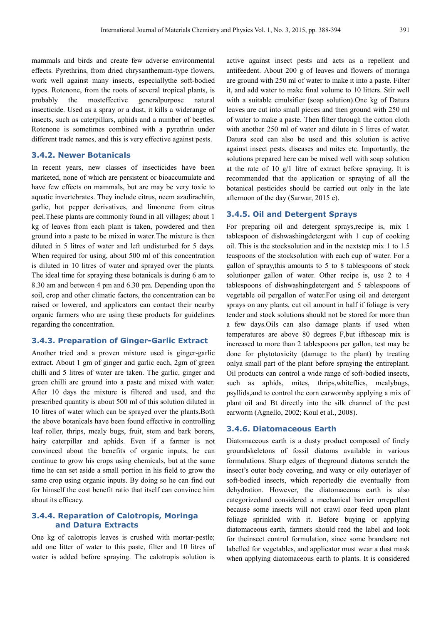mammals and birds and create few adverse environmental effects. Pyrethrins, from dried chrysanthemum-type flowers, work well against many insects, especiallythe soft-bodied types. Rotenone, from the roots of several tropical plants, is probably the mosteffective generalpurpose natural insecticide. Used as a spray or a dust, it kills a widerange of insects, such as caterpillars, aphids and a number of beetles. Rotenone is sometimes combined with a pyrethrin under different trade names, and this is very effective against pests.

#### **3.4.2. Newer Botanicals**

In recent years, new classes of insecticides have been marketed, none of which are persistent or bioaccumulate and have few effects on mammals, but are may be very toxic to aquatic invertebrates. They include citrus, neem azadirachtin, garlic, hot pepper derivatives, and limonene from citrus peel.These plants are commonly found in all villages; about 1 kg of leaves from each plant is taken, powdered and then ground into a paste to be mixed in water.The mixture is then diluted in 5 litres of water and left undisturbed for 5 days. When required for using, about 500 ml of this concentration is diluted in 10 litres of water and sprayed over the plants. The ideal time for spraying these botanicals is during 6 am to 8.30 am and between 4 pm and 6.30 pm. Depending upon the soil, crop and other climatic factors, the concentration can be raised or lowered, and applicators can contact their nearby organic farmers who are using these products for guidelines regarding the concentration.

#### **3.4.3. Preparation of Ginger-Garlic Extract**

Another tried and a proven mixture used is ginger-garlic extract. About 1 gm of ginger and garlic each, 2gm of green chilli and 5 litres of water are taken. The garlic, ginger and green chilli are ground into a paste and mixed with water. After 10 days the mixture is filtered and used, and the prescribed quantity is about 500 ml of this solution diluted in 10 litres of water which can be sprayed over the plants.Both the above botanicals have been found effective in controlling leaf roller, thrips, mealy bugs, fruit, stem and bark borers, hairy caterpillar and aphids. Even if a farmer is not convinced about the benefits of organic inputs, he can continue to grow his crops using chemicals, but at the same time he can set aside a small portion in his field to grow the same crop using organic inputs. By doing so he can find out for himself the cost benefit ratio that itself can convince him about its efficacy.

## **3.4.4. Reparation of Calotropis, Moringa and Datura Extracts**

One kg of calotropis leaves is crushed with mortar-pestle; add one litter of water to this paste, filter and 10 litres of water is added before spraying. The calotropis solution is active against insect pests and acts as a repellent and antifeedent. About 200 g of leaves and flowers of moringa are ground with 250 ml of water to make it into a paste. Filter it, and add water to make final volume to 10 litters. Stir well with a suitable emulsifier (soap solution).One kg of Datura leaves are cut into small pieces and then ground with 250 ml of water to make a paste. Then filter through the cotton cloth with another 250 ml of water and dilute in 5 litres of water. Datura seed can also be used and this solution is active against insect pests, diseases and mites etc. Importantly, the solutions prepared here can be mixed well with soap solution at the rate of 10 g/1 litre of extract before spraying. It is recommended that the application or spraying of all the botanical pesticides should be carried out only in the late afternoon of the day (Sarwar, 2015 e).

### **3.4.5. Oil and Detergent Sprays**

For preparing oil and detergent sprays,recipe is, mix 1 tablespoon of dishwashingdetergent with 1 cup of cooking oil. This is the stocksolution and in the nextstep mix 1 to 1.5 teaspoons of the stocksolution with each cup of water. For a gallon of spray,this amounts to 5 to 8 tablespoons of stock solutionper gallon of water. Other recipe is, use 2 to 4 tablespoons of dishwashingdetergent and 5 tablespoons of vegetable oil pergallon of water.For using oil and detergent sprays on any plants, cut oil amount in half if foliage is very tender and stock solutions should not be stored for more than a few days.Oils can also damage plants if used when temperatures are above 80 degrees F,but ifthesoap mix is increased to more than 2 tablespoons per gallon, test may be done for phytotoxicity (damage to the plant) by treating onlya small part of the plant before spraying the entireplant. Oil products can control a wide range of soft-bodied insects, such as aphids, mites, thrips,whiteflies, mealybugs, psyllids,and to control the corn earwormby applying a mix of plant oil and Bt directly into the silk channel of the pest earworm (Agnello, 2002; Koul et al., 2008).

### **3.4.6. Diatomaceous Earth**

Diatomaceous earth is a dusty product composed of finely groundskeletons of fossil diatoms available in various formulations. Sharp edges of theground diatoms scratch the insect's outer body covering, and waxy or oily outerlayer of soft-bodied insects, which reportedly die eventually from dehydration. However, the diatomaceous earth is also categorizedand considered a mechanical barrier orrepellent because some insects will not crawl onor feed upon plant foliage sprinkled with it. Before buying or applying diatomaceous earth, farmers should read the label and look for theinsect control formulation, since some brandsare not labelled for vegetables, and applicator must wear a dust mask when applying diatomaceous earth to plants. It is considered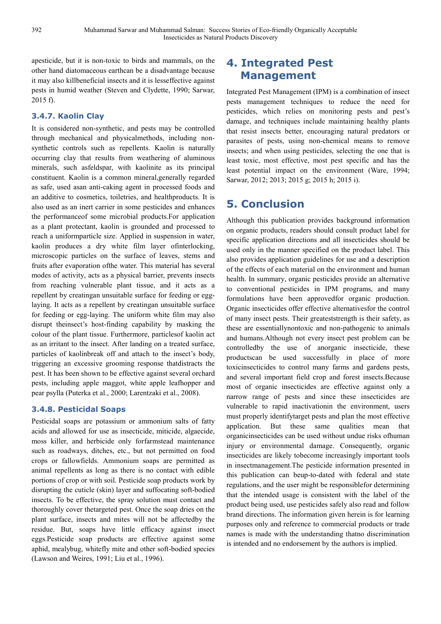apesticide, but it is non-toxic to birds and mammals, on the other hand diatomaceous earthcan be a disadvantage because it may also killbeneficial insects and it is lesseffective against pests in humid weather (Steven and Clydette, 1990; Sarwar, 2015 f).

## **3.4.7. Kaolin Clay**

It is considered non-synthetic, and pests may be controlled through mechanical and physicalmethods, including nonsynthetic controls such as repellents. Kaolin is naturally occurring clay that results from weathering of aluminous minerals, such asfeldspar, with kaolinite as its principal constituent. Kaolin is a common mineral,generally regarded as safe, used asan anti-caking agent in processed foods and an additive to cosmetics, toiletries, and healthproducts. It is also used as an inert carrier in some pesticides and enhances the performanceof some microbial products.For application as a plant protectant, kaolin is grounded and processed to reach a uniformparticle size. Applied in suspension in water, kaolin produces a dry white film layer ofinterlocking, microscopic particles on the surface of leaves, stems and fruits after evaporation ofthe water. This material has several modes of activity, acts as a physical barrier, prevents insects from reaching vulnerable plant tissue, and it acts as a repellent by creatingan unsuitable surface for feeding or egglaying. It acts as a repellent by creatingan unsuitable surface for feeding or egg-laying. The uniform white film may also disrupt theinsect's host-finding capability by masking the colour of the plant tissue. Furthermore, particlesof kaolin act as an irritant to the insect. After landing on a treated surface, particles of kaolinbreak off and attach to the insect's body, triggering an excessive grooming response thatdistracts the pest. It has been shown to be effective against several orchard pests, including apple maggot, white apple leafhopper and pear psylla (Puterka et al., 2000; Larentzaki et al., 2008).

## **3.4.8. Pesticidal Soaps**

Pesticidal soaps are potassium or ammonium salts of fatty acids and allowed for use as insecticide, miticide, algaecide, moss killer, and herbicide only forfarmstead maintenance such as roadways, ditches, etc., but not permitted on food crops or fallowfields. Ammonium soaps are permitted as animal repellents as long as there is no contact with edible portions of crop or with soil. Pesticide soap products work by disrupting the cuticle (skin) layer and suffocating soft-bodied insects. To be effective, the spray solution must contact and thoroughly cover thetargeted pest. Once the soap dries on the plant surface, insects and mites will not be affectedby the residue. But, soaps have little efficacy against insect eggs.Pesticide soap products are effective against some aphid, mealybug, whitefly mite and other soft-bodied species (Lawson and Weires, 1991; Liu et al., 1996).

## **4. Integrated Pest Management**

Integrated Pest Management (IPM) is a combination of insect pests management techniques to reduce the need for pesticides, which relies on monitoring pests and pest's damage, and techniques include maintaining healthy plants that resist insects better, encouraging natural predators or parasites of pests, using non-chemical means to remove insects; and when using pesticides, selecting the one that is least toxic, most effective, most pest specific and has the least potential impact on the environment (Ware, 1994; Sarwar, 2012; 2013; 2015 g; 2015 h; 2015 i).

## **5. Conclusion**

Although this publication provides background information on organic products, readers should consult product label for specific application directions and all insecticides should be used only in the manner specified on the product label. This also provides application guidelines for use and a description of the effects of each material on the environment and human health. In summary, organic pesticides provide an alternative to conventional pesticides in IPM programs, and many formulations have been approvedfor organic production. Organic insecticides offer effective alternativesfor the control of many insect pests. Their greateststrength is their safety, as these are essentiallynontoxic and non-pathogenic to animals and humans.Although not every insect pest problem can be controlledby the use of anorganic insecticide, these productscan be used successfully in place of more toxicinsecticides to control many farms and gardens pests, and several important field crop and forest insects.Because most of organic insecticides are effective against only a narrow range of pests and since these insecticides are vulnerable to rapid inactivationin the environment, users must properly identifytarget pests and plan the most effective application. But these same qualities mean that organicinsecticides can be used without undue risks ofhuman injury or environmental damage. Consequently, organic insecticides are likely tobecome increasingly important tools in insectmanagement.The pesticide information presented in this publication can beup-to-dated with federal and state regulations, and the user might be responsiblefor determining that the intended usage is consistent with the label of the product being used, use pesticides safely also read and follow brand directions. The information given herein is for learning purposes only and reference to commercial products or trade names is made with the understanding thatno discrimination is intended and no endorsement by the authors is implied.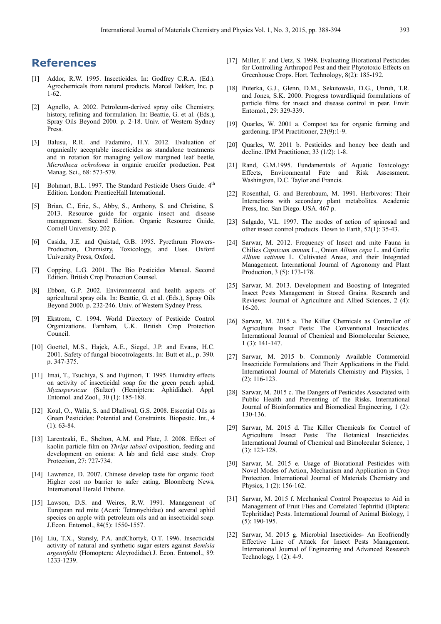## **References**

- [1] Addor, R.W. 1995. Insecticides. In: Godfrey C.R.A. (Ed.). Agrochemicals from natural products. Marcel Dekker, Inc. p. 1-62.
- [2] Agnello, A. 2002. Petroleum-derived spray oils: Chemistry, history, refining and formulation. In: Beattie, G. et al. (Eds.), Spray Oils Beyond 2000. p. 2-18. Univ. of Western Sydney Press.
- [3] Balusu, R.R. and Fadamiro, H.Y. 2012. Evaluation of organically acceptable insecticides as standalone treatments and in rotation for managing yellow margined leaf beetle*, Microtheca ochroloma* in organic crucifer production. Pest Manag. Sci., 68: 573-579.
- [4] Bohmart, B.L. 1997. The Standard Pesticide Users Guide. 4<sup>th</sup> Edition. London: PrenticeHall International.
- [5] Brian, C., Eric, S., Abby, S., Anthony, S. and Christine, S. 2013. Resource guide for organic insect and disease management. Second Edition. Organic Resource Guide, Cornell University. 202 p.
- [6] Casida, J.E. and Quistad, G.B. 1995. Pyrethrum Flowers-Production, Chemistry, Toxicology, and Uses. Oxford University Press, Oxford.
- [7] Copping, L.G. 2001. The Bio Pesticides Manual. Second Edition. British Crop Protection Counsel.
- [8] Ebbon, G.P. 2002. Environmental and health aspects of agricultural spray oils. In: Beattie, G. et al. (Eds.), Spray Oils Beyond 2000. p. 232-246. Univ. of Western Sydney Press.
- [9] Ekstrom, C. 1994. World Directory of Pesticide Control Organizations. Farnham, U.K. British Crop Protection Council.
- [10] Goettel, M.S., Hajek, A.E., Siegel, J.P. and Evans, H.C. 2001. Safety of fungal biocotrolagents. In: Butt et al., p. 390. p. 347-375.
- [11] Imai, T., Tsuchiya, S. and Fujimori, T. 1995. Humidity effects on activity of insecticidal soap for the green peach aphid, *Myzuspersicae* (Sulzer) (Hemiptera: Aphididae). Appl. Entomol. and Zool., 30 (1): 185-188.
- [12] Koul, O., Walia, S. and Dhaliwal, G.S. 2008. Essential Oils as Green Pesticides: Potential and Constraints. Biopestic. Int., 4 (1): 63-84.
- [13] Larentzaki, E., Shelton, A.M. and Plate, J. 2008. Effect of kaolin particle film on *Thrips tabaci* oviposition, feeding and development on onions: A lab and field case study. Crop Protection, 27: 727-734.
- [14] Lawrence, D. 2007. Chinese develop taste for organic food: Higher cost no barrier to safer eating. Bloomberg News, International Herald Tribune.
- [15] Lawson, D.S. and Weires, R.W. 1991. Management of European red mite (Acari: Tetranychidae) and several aphid species on apple with petroleum oils and an insecticidal soap. J.Econ. Entomol., 84(5): 1550-1557.
- [16] Liu, T.X., Stansly, P.A. andChortyk, O.T. 1996. Insecticidal activity of natural and synthetic sugar esters against *Bemisia argentifolii* (Homoptera: Aleyrodidae).J. Econ. Entomol., 89: 1233-1239.
- [17] Miller, F. and Uetz, S. 1998. Evaluating Biorational Pesticides for Controlling Arthropod Pest and their Phytotoxic Effects on Greenhouse Crops. Hort. Technology, 8(2): 185-192.
- [18] Puterka, G.J., Glenn, D.M., Sekutowski, D.G., Unruh, T.R. and Jones, S.K. 2000. Progress towardliquid formulations of particle films for insect and disease control in pear. Envir. Entomol., 29: 329-339.
- [19] Quarles, W. 2001 a. Compost tea for organic farming and gardening. IPM Practitioner, 23(9):1-9.
- [20] Quarles, W. 2011 b. Pesticides and honey bee death and decline. IPM Practitioner, 33 (1/2): 1-8.
- [21] Rand, G.M.1995. Fundamentals of Aquatic Toxicology: Effects, Environmental Fate and Risk Assessment. Washington, D.C. Taylor and Francis.
- [22] Rosenthal, G. and Berenbaum, M. 1991. Herbivores: Their Interactions with secondary plant metabolites. Academic Press, Inc. San Diego. USA. 467 p.
- [23] Salgado, V.L. 1997. The modes of action of spinosad and other insect control products. Down to Earth, 52(1): 35-43.
- [24] Sarwar, M. 2012. Frequency of Insect and mite Fauna in Chilies *Capsicum annum* L., Onion *Allium cepa* L. and Garlic *Allium sativum* L. Cultivated Areas, and their Integrated Management. International Journal of Agronomy and Plant Production, 3 (5): 173-178.
- [25] Sarwar, M. 2013. Development and Boosting of Integrated Insect Pests Management in Stored Grains. Research and Reviews: Journal of Agriculture and Allied Sciences, 2 (4): 16-20.
- [26] Sarwar, M. 2015 a. The Killer Chemicals as Controller of Agriculture Insect Pests: The Conventional Insecticides. International Journal of Chemical and Biomolecular Science, 1 (3): 141-147.
- [27] Sarwar, M. 2015 b. Commonly Available Commercial Insecticide Formulations and Their Applications in the Field. International Journal of Materials Chemistry and Physics, 1 (2): 116-123.
- [28] Sarwar, M. 2015 c. The Dangers of Pesticides Associated with Public Health and Preventing of the Risks. International Journal of Bioinformatics and Biomedical Engineering, 1 (2): 130-136.
- [29] Sarwar, M. 2015 d. The Killer Chemicals for Control of Agriculture Insect Pests: The Botanical Insecticides. International Journal of Chemical and Bimolecular Science, 1 (3): 123-128.
- [30] Sarwar, M. 2015 e. Usage of Biorational Pesticides with Novel Modes of Action, Mechanism and Application in Crop Protection. International Journal of Materials Chemistry and Physics, 1 (2): 156-162.
- [31] Sarwar, M. 2015 f. Mechanical Control Prospectus to Aid in Management of Fruit Flies and Correlated Tephritid (Diptera: Tephritidae) Pests. International Journal of Animal Biology, 1 (5): 190-195.
- [32] Sarwar, M. 2015 g. Microbial Insecticides- An Ecofriendly Effective Line of Attack for Insect Pests Management. International Journal of Engineering and Advanced Research Technology, 1 (2): 4-9.